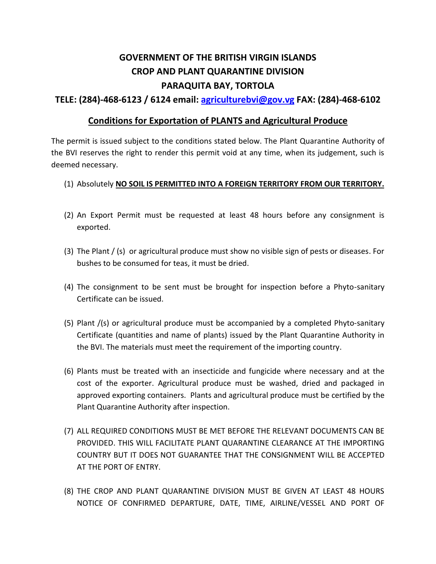## **GOVERNMENT OF THE BRITISH VIRGIN ISLANDS CROP AND PLANT QUARANTINE DIVISION PARAQUITA BAY, TORTOLA**

## **TELE: (284)-468-6123 / 6124 email: [agriculturebvi@gov.vg](mailto:agriculturebvi@gov.vg) FAX: (284)-468-6102**

## **Conditions for Exportation of PLANTS and Agricultural Produce**

The permit is issued subject to the conditions stated below. The Plant Quarantine Authority of the BVI reserves the right to render this permit void at any time, when its judgement, such is deemed necessary.

## (1) Absolutely **NO SOIL IS PERMITTED INTO A FOREIGN TERRITORY FROM OUR TERRITORY.**

- (2) An Export Permit must be requested at least 48 hours before any consignment is exported.
- (3) The Plant / (s) or agricultural produce must show no visible sign of pests or diseases. For bushes to be consumed for teas, it must be dried.
- (4) The consignment to be sent must be brought for inspection before a Phyto-sanitary Certificate can be issued.
- (5) Plant /(s) or agricultural produce must be accompanied by a completed Phyto-sanitary Certificate (quantities and name of plants) issued by the Plant Quarantine Authority in the BVI. The materials must meet the requirement of the importing country.
- (6) Plants must be treated with an insecticide and fungicide where necessary and at the cost of the exporter. Agricultural produce must be washed, dried and packaged in approved exporting containers. Plants and agricultural produce must be certified by the Plant Quarantine Authority after inspection.
- (7) ALL REQUIRED CONDITIONS MUST BE MET BEFORE THE RELEVANT DOCUMENTS CAN BE PROVIDED. THIS WILL FACILITATE PLANT QUARANTINE CLEARANCE AT THE IMPORTING COUNTRY BUT IT DOES NOT GUARANTEE THAT THE CONSIGNMENT WILL BE ACCEPTED AT THE PORT OF ENTRY.
- (8) THE CROP AND PLANT QUARANTINE DIVISION MUST BE GIVEN AT LEAST 48 HOURS NOTICE OF CONFIRMED DEPARTURE, DATE, TIME, AIRLINE/VESSEL AND PORT OF